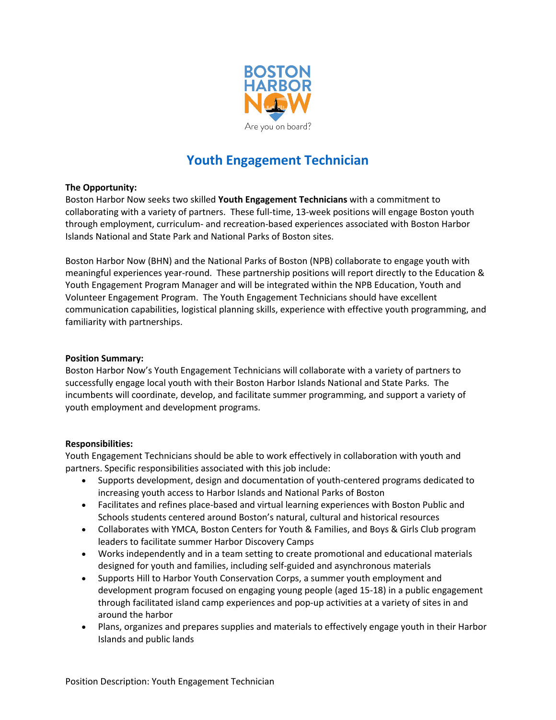

# **Youth Engagement Technician**

## **The Opportunity:**

Boston Harbor Now seeks two skilled **Youth Engagement Technicians** with a commitment to collaborating with a variety of partners. These full-time, 13-week positions will engage Boston youth through employment, curriculum- and recreation-based experiences associated with Boston Harbor Islands National and State Park and National Parks of Boston sites.

Boston Harbor Now (BHN) and the National Parks of Boston (NPB) collaborate to engage youth with meaningful experiences year-round. These partnership positions will report directly to the Education & Youth Engagement Program Manager and will be integrated within the NPB Education, Youth and Volunteer Engagement Program. The Youth Engagement Technicians should have excellent communication capabilities, logistical planning skills, experience with effective youth programming, and familiarity with partnerships.

#### **Position Summary:**

Boston Harbor Now's Youth Engagement Technicians will collaborate with a variety of partners to successfully engage local youth with their Boston Harbor Islands National and State Parks. The incumbents will coordinate, develop, and facilitate summer programming, and support a variety of youth employment and development programs.

## **Responsibilities:**

Youth Engagement Technicians should be able to work effectively in collaboration with youth and partners. Specific responsibilities associated with this job include:

- Supports development, design and documentation of youth-centered programs dedicated to increasing youth access to Harbor Islands and National Parks of Boston
- Facilitates and refines place-based and virtual learning experiences with Boston Public and Schools students centered around Boston's natural, cultural and historical resources
- Collaborates with YMCA, Boston Centers for Youth & Families, and Boys & Girls Club program leaders to facilitate summer Harbor Discovery Camps
- Works independently and in a team setting to create promotional and educational materials designed for youth and families, including self-guided and asynchronous materials
- Supports Hill to Harbor Youth Conservation Corps, a summer youth employment and development program focused on engaging young people (aged 15-18) in a public engagement through facilitated island camp experiences and pop-up activities at a variety of sites in and around the harbor
- Plans, organizes and prepares supplies and materials to effectively engage youth in their Harbor Islands and public lands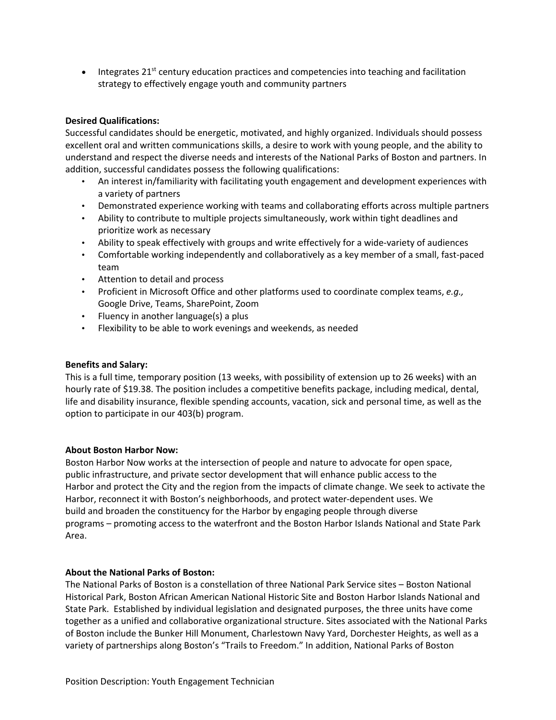• Integrates  $21^{st}$  century education practices and competencies into teaching and facilitation strategy to effectively engage youth and community partners

## **Desired Qualifications:**

Successful candidates should be energetic, motivated, and highly organized. Individuals should possess excellent oral and written communications skills, a desire to work with young people, and the ability to understand and respect the diverse needs and interests of the National Parks of Boston and partners. In addition, successful candidates possess the following qualifications:

- An interest in/familiarity with facilitating youth engagement and development experiences with a variety of partners
- Demonstrated experience working with teams and collaborating efforts across multiple partners
- Ability to contribute to multiple projects simultaneously, work within tight deadlines and prioritize work as necessary
- Ability to speak effectively with groups and write effectively for a wide-variety of audiences
- Comfortable working independently and collaboratively as a key member of a small, fast-paced team
- Attention to detail and process
- Proficient in Microsoft Office and other platforms used to coordinate complex teams, *e.g.,*  Google Drive, Teams, SharePoint, Zoom
- Fluency in another language(s) a plus
- Flexibility to be able to work evenings and weekends, as needed

## **Benefits and Salary:**

This is a full time, temporary position (13 weeks, with possibility of extension up to 26 weeks) with an hourly rate of \$19.38. The position includes a competitive benefits package, including medical, dental, life and disability insurance, flexible spending accounts, vacation, sick and personal time, as well as the option to participate in our 403(b) program.

## **About Boston Harbor Now:**

Boston Harbor Now works at the intersection of people and nature to advocate for open space, public infrastructure, and private sector development that will enhance public access to the Harbor and protect the City and the region from the impacts of climate change. We seek to activate the Harbor, reconnect it with Boston's neighborhoods, and protect water-dependent uses. We build and broaden the constituency for the Harbor by engaging people through diverse programs – promoting access to the waterfront and the Boston Harbor Islands National and State Park Area.

## **About the National Parks of Boston:**

The National Parks of Boston is a constellation of three National Park Service sites – Boston National Historical Park, Boston African American National Historic Site and Boston Harbor Islands National and State Park. Established by individual legislation and designated purposes, the three units have come together as a unified and collaborative organizational structure. Sites associated with the National Parks of Boston include the Bunker Hill Monument, Charlestown Navy Yard, Dorchester Heights, as well as a variety of partnerships along Boston's "Trails to Freedom." In addition, National Parks of Boston